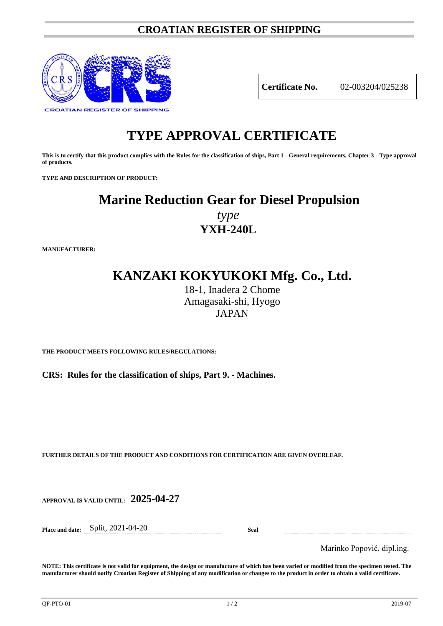## **CROATIAN REGISTER OF SHIPPING**



**Certificate No.** 02-003204/025238

# **TYPE APPROVAL CERTIFICATE**

**This is to certify that this product complies with the Rules for the classification of ships, Part 1 - General requirements, Chapter 3 - Type approval of products.**

**TYPE AND DESCRIPTION OF PRODUCT:** 

# **Marine Reduction Gear for Diesel Propulsion**

*type* **YXH-240L**

**MANUFACTURER:**

# **KANZAKI KOKYUKOKI Mfg. Co., Ltd.**

18-1, Inadera 2 Chome Amagasaki-shi, Hyogo JAPAN

**THE PRODUCT MEETS FOLLOWING RULES/REGULATIONS:**

**CRS: Rules for the classification of ships, Part 9. - Machines.**

**FURTHER DETAILS OF THE PRODUCT AND CONDITIONS FOR CERTIFICATION ARE GIVEN OVERLEAF.**

**APPROVAL IS VALID UNTIL: 2025-04-27**

**Place and date:** Split, 2021-04-20 **Seal**

Marinko Popović, dipl.ing.

**NOTE: This certificate is not valid for equipment, the design or manufacture of which has been varied or modified from the specimen tested. The manufacturer should notify Croatian Register of Shipping of any modification or changes to the product in order to obtain a valid certificate.**